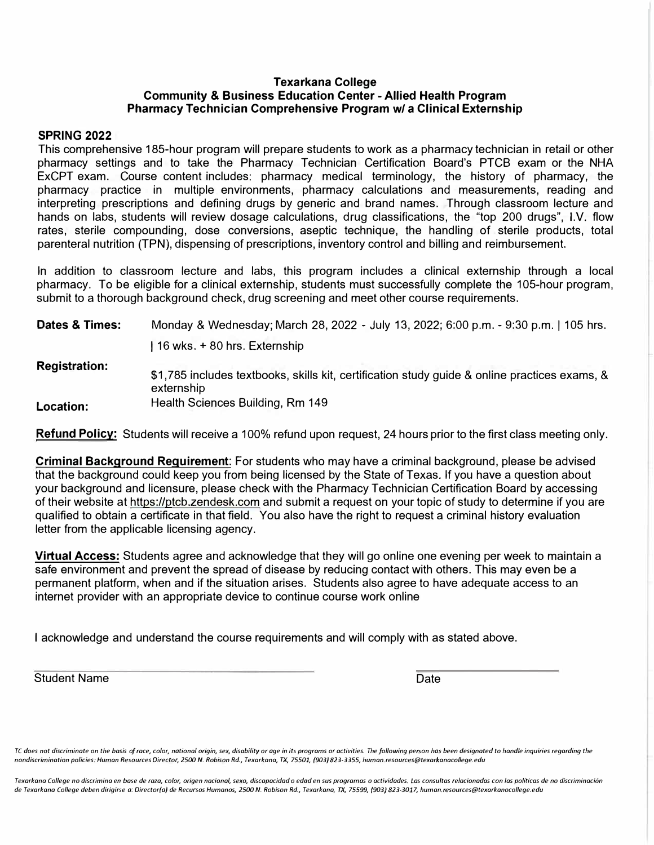## **Texarkana College Community & Business Education Center - Allied Health Program Pharmacy Technician Comprehensive Program w/ a Clinical Externship**

### **SPRING 2022**

This comprehensive 185-hour program will prepare students to work as a pharmacy technician in retail or other pharmacy settings and to take the Pharmacy Technician Certification Board's PTCB exam or the NHA ExCPT exam. Course content includes: pharmacy medical terminology, the history of pharmacy, the pharmacy practice in multiple environments, pharmacy calculations and measurements, reading and interpreting prescriptions and defining drugs by generic and brand names. Through classroom lecture and hands on labs, students will review dosage calculations, drug classifications, the "top 200 drugs", 1.V. flow rates, sterile compounding, dose conversions, aseptic technique, the handling of sterile products, total parenteral nutrition (TPN), dispensing of prescriptions, inventory control and billing and reimbursement.

In addition to classroom lecture and labs, this program includes a clinical externship through a local pharmacy. To be eligible for a clinical externship, students must successfully complete the 105-hour program, submit to a thorough background check, drug screening and meet other course requirements.

| Dates & Times:       | Monday & Wednesday; March 28, 2022 - July 13, 2022; 6:00 p.m. - 9:30 p.m.   105 hrs.                        |
|----------------------|-------------------------------------------------------------------------------------------------------------|
|                      | 16 wks. + 80 hrs. Externship                                                                                |
| <b>Registration:</b> | \$1,785 includes textbooks, skills kit, certification study guide & online practices exams, &<br>externship |
| Location:            | Health Sciences Building, Rm 149                                                                            |

**Refund Policy:** Students will receive a 100% refund upon request, 24 hours prior to the first class meeting only.

**Criminal Background Requirement:** For students who may have a criminal background, please be advised that the background could keep you from being licensed by the State of Texas. If you have a question about your background and licensure, please check with the Pharmacy Technician Certification Board by accessing of their website at https://ptcb.zendesk.com and submit a request on your topic of study to determine if you are qualified to obtain a certificate in that field. You also have the right to request a criminal history evaluation letter from the applicable licensing agency.

**Virtual Access:** Students agree and acknowledge that they will go online one evening per week to maintain a safe environment and prevent the spread of disease by reducing contact with others. This may even be a permanent platform, when and if the situation arises. Students also agree to have adequate access to an internet provider with an appropriate device to continue course work online

I acknowledge and understand the course requirements and will comply with as stated above.

Student Name **Date** Date of the Date of the Date of the Date of the Date of the Date of the Date of the Date of the Date of the Date of the Date of the Date of the Date of the Date of the Date of the Date of the Date of th

TC does not discriminate on the basis of race, color, national origin, sex, disability or age in its programs or activities. The following person has been designated to handle inquiries regarding the *nondiscrimination policies: Human Resources Director, 2500 N. Robison Rd., Texarkana, TX, 75501, (903/ 823-3355, human.resources@texarkanacollege.edu* 

Texarkana College no discrimina en base de raza, color, origen nacional, sexo, discapacidad o edad en sus programas o actividades. Las consultas relacionadas con las políticas de no discriminación *de Texarkana College deben dirigirse o: Oirector(o/ de Recursos Humanos, 2500 N. Robison Rd., Texarkana, TX, 75599, /903} 823-3017, human.resources@texarkanocollege.edu*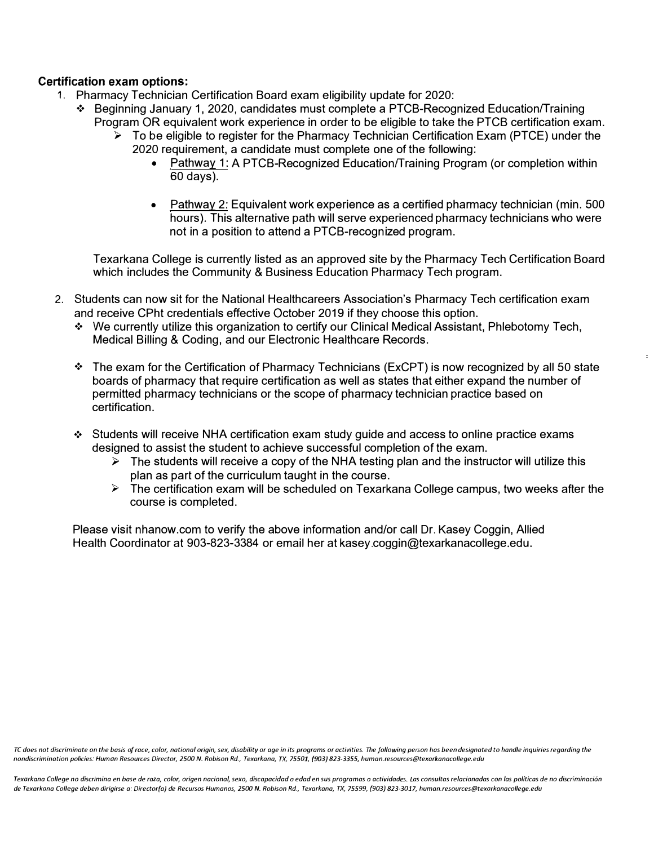# **Certification exam options:**

- 1. Pharmacy Technician Certification Board exam eligibility update for 2020:
	- ❖ Beginning January 1, 2020, candidates must complete a PTCB-Recognized Educationrrraining Program OR equivalent work experience in order to be eligible to take the PTCB certification exam.
		- ► To be eligible to register for the Pharmacy Technician Certification Exam (PTCE) under the 2020 requirement, a candidate must complete one of the following:
			- Pathway 1: A PTCB-Recognized Education/Training Program (or completion within 60 days).
			- Pathway 2: Equivalent work experience as a certified pharmacy technician (min. 500 hours). This alternative path will serve experienced pharmacy technicians who were not in a position to attend a PTCB-recognized program.

 $\frac{1}{2}$ 

Texarkana College is currently listed as an approved site by the Pharmacy Tech Certification Board which includes the Community & Business Education Pharmacy Tech program.

- 2. Students can now sit for the National Healthcareers Association's Pharmacy Tech certification exam and receive CPht credentials effective October 2019 if they choose this option.
	- ❖ We currently utilize this organization to certify our Clinical Medical Assistant, Phlebotomy Tech, Medical Billing & Coding, and our Electronic Healthcare Records.
	- ❖ The exam for the Certification of Pharmacy Technicians (ExCPT) is now recognized by all 50 state boards of pharmacy that require certification as well as states that either expand the number of permitted pharmacy technicians or the scope of pharmacy technician practice based on certification.
	- ❖ Students will receive NHA certification exam study guide and access to online practice exams designed to assist the student to achieve successful completion of the exam.
		- $\triangleright$  The students will receive a copy of the NHA testing plan and the instructor will utilize this plan as part of the curriculum taught in the course.
		- ► The certification exam will be scheduled on Texarkana College campus, two weeks after the course is completed.

Please visit nhanow.com to verify the above information and/or call Dr. Kasey Coggin, Allied Health Coordinator at 903-823-3384 or email her at kasey.coggin@texarkanacollege.edu.

*TC does not discriminate on the basis of race, color, national origin, sex, disability or age in its programs or activities. The following person has been designated to handle inquiries regarding the nondiscrimination policies: Humon Resources Director, 2500 N. Robison Rd., Texarkana, TX, 75501, {903) 823-3355, human.resources@texarkanacollege.edu* 

*Texarkana College no discrimina en base de raza, color, origen nacional, sexo, discapacidad a edad en sus programas a actividades. Las consultas relacionadas con las politicos de no discriminaci6n de Texarkana College deben dirigirse a: Director(a) de Recursos Humanos, 2500 N. Robison Rd., Texarkana, TX, 75599, {903} 823-3017, human.resources@texarkanacollege.edu*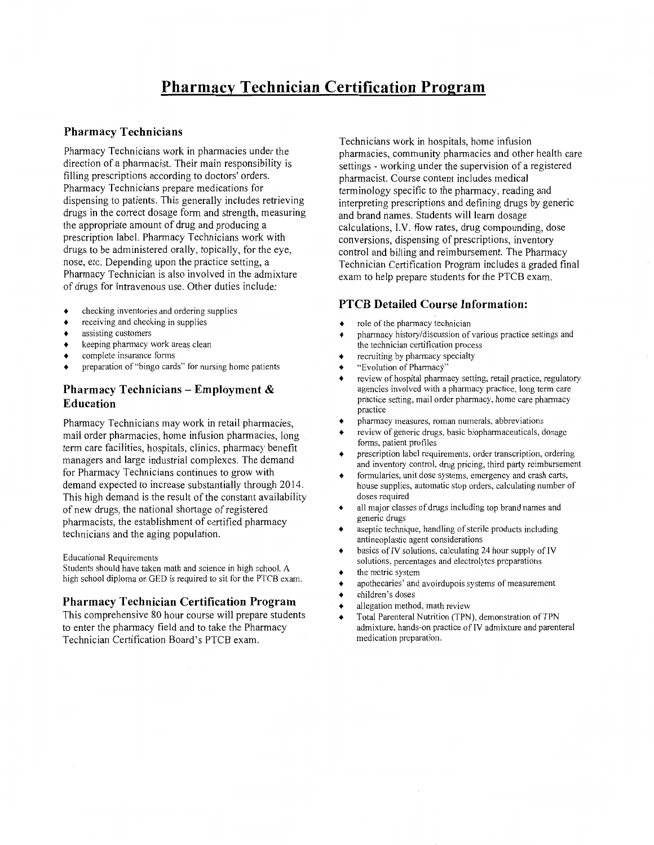# **Pharmacy Technician Certification Program**

#### **Pharmacy Technicians**

Pharmacy Technicians work in pharmacies under the direction of a pharmacist. Their main responsibility is filling prescriptions according to doctors' orders. Pharmacy Technicians prepare medications for dispensing to patients. This generally includes retrieving drugs in the correct dosage form and strength, measuring the appropriate amount of drug and producing a prescription label. Pharmacy Technicians work with drugs to be administered orally, topically, for the eye, nose, etc. Depending upon the practice setting, a Pharmacy Technician is also involved in the admixture of drugs for intravenous use. Other duties include:

- checking inventories and ordering supplies  $\bullet$
- $\bullet$ receiving and checking in supplies
- $\bullet$ assisting customers
- keeping pharmacy work areas clean  $\bullet$
- complete insurance forms
- preparation of "bingo cards" for nursing home patients

# Pharmacy Technicians – Employment  $\&$ **Education**

Pharmacy Technicians may work in retail pharmacies, mail order pharmacies, home infusion pharmacies, long term care facilities, hospitals, clinics, pharmacy benefit managers and large industrial complexes. The demand for Pharmacy Technicians continues to grow with demand expected to increase substantially through 2014. This high demand is the result of the constant availability of new drugs, the national shortage of registered pharmacists, the establishment of certified pharmacy technicians and the aging population.

**Educational Requirements** 

Students should have taken math and science in high school. A high school diploma or GED is required to sit for the PTCB exam.

#### **Pharmacy Technician Certification Program**

This comprehensive 80 hour course will prepare students to enter the pharmacy field and to take the Pharmacy Technician Certification Board's PTCB exam.

Technicians work in hospitals, home infusion pharmacies, community pharmacies and other health care settings - working under the supervision of a registered pharmacist. Course content includes medical terminology specific to the pharmacy, reading and interpreting prescriptions and defining drugs by generic and brand names. Students will learn dosage calculations, I.V. flow rates, drug compounding, dose conversions, dispensing of prescriptions, inventory control and billing and reimbursement. The Pharmacy Technician Certification Program includes a graded final exam to help prepare students for the PTCB exam.

#### **PTCB Detailed Course Information:**

- role of the pharmacy technician
- pharmacy history/discussion of various practice settings and the technician certification process
- recruiting by pharmacy specialty
- "Evolution of Pharmacy"
- review of hospital pharmacy setting, retail practice, regulatory agencies involved with a pharmacy practice, long term care practice setting, mail order pharmacy, home care pharmacy practice
- pharmacy measures, roman numerals, abbreviations
- review of generic drugs, basic biopharmaceuticals, dosage forms, patient profiles
- prescription label requirements, order transcription, ordering and inventory control, drug pricing, third party reimbursement
- formularies, unit dose systems, emergency and crash carts, house supplies, automatic stop orders, calculating number of doses required
- all major classes of drugs including top brand names and generic drugs
- aseptic technique, handling of sterile products including  $\bullet$ antineoplastic agent considerations
- basics of IV solutions, calculating 24 hour supply of IV  $\bullet$ solutions, percentages and electrolytes preparations
- the metric system
- apothecaries' and avoirdupois systems of measurement
- children's doses
- allegation method, math review
- Total Parenteral Nutrition (TPN), demonstration of TPN admixture, hands-on practice of IV admixture and parenteral medication preparation.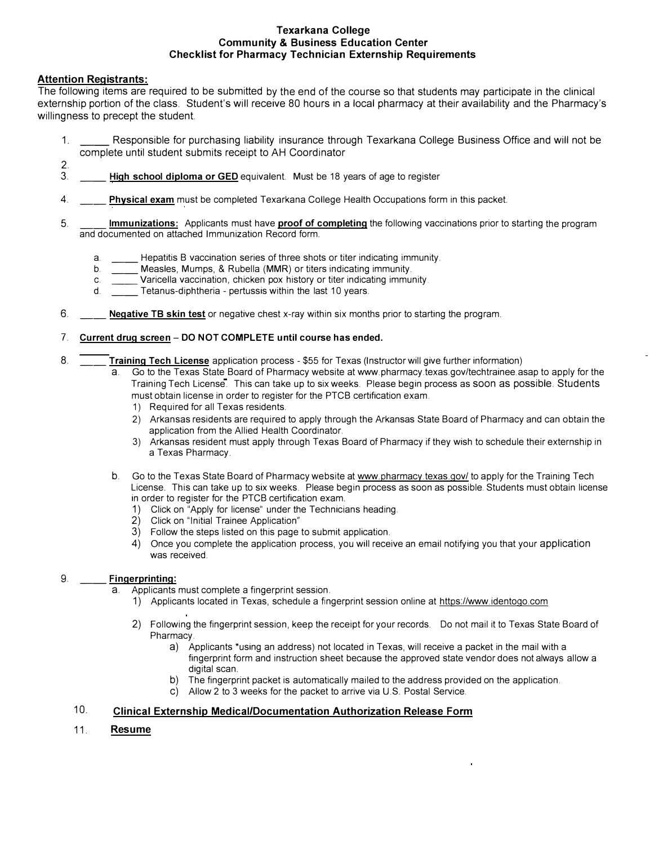#### **Texarkana College Community & Business Education Center Checklist for Pharmacy Technician Externship Requirements**

### **Attention Registrants:**

The following items are required to be submitted by the end of the course so that students may participate in the clinical externship portion of the class. Student's will receive 80 hours in a local pharmacy at their availability and the Pharmacy's willingness to precept the student.

- 1. \_\_ Responsible for purchasing liability insurance through Texarkana College Business Office and will not be complete until student submits receipt to AH Coordinator
- $\frac{2}{3}$ . High school diploma or GED equivalent. Must be 18 years of age to register
- 4. \_\_ **Physical exam** must be completed Texarkana College Health Occupations form in this packet.
- 5. \_\_ **Immunizations:** Applicants must have **proof of completing** the following vaccinations prior to starting the program and documented on attached Immunization Record form.
	- a. \_\_ Hepatitis B vaccination series of three shots or titer indicating immunity.
	- b. **Weasles, Mumps, & Rubella (MMR)** or titers indicating immunity.<br>C. Varicella vaccination, chicken pox history or titer indicating immunity.
	- c. \_\_\_\_\_\_ Varicella vaccination, chicken pox history or titer indicating immunity.<br>d. \_\_\_\_\_\_ Tetanus-diphtheria pertussis within the last 10 years.
	- Tetanus-diphtheria pertussis within the last 10 years.
- 6. \_\_ **Negative TB skin test** or negative chest x-ray within six months prior to starting the program.

#### 7. **Current drug screen - DO NOT COMPLETE until course has ended.**

- 8. \_\_ **Training Tech License** application process \$55 for Texas (Instructor will give further information)
	- a. Go to the Texas State Board of Pharmacy website at www.pharmacy.texas.gov/techtrainee.asap to apply for the Training Tech License. This can take up to six weeks. Please begin process as soon as possible. Students must obtain license in order to register for the PTCB certification exam.
		- 1) Required for all Texas residents.
		- 2) Arkansas residents are required to apply through the Arkansas State Board of Pharmacy and can obtain the application from the Allied Health Coordinator.
		- 3) Arkansas resident must apply through Texas Board of Pharmacy if they wish to schedule their externship in a Texas Pharmacy.
	- b. Go to the Texas State Board of Pharmacy website at www.pharmacy.texas.gov/ to apply for the Training Tech License. This can take up to six weeks. Please begin process as soon as possible. Students must obtain license in order to register for the PTCB certification exam.
		- 1) Click on "Apply for license" under the Technicians heading.
		- 2) Click on "Initial Trainee Application"
		- 3) Follow the steps listed on this page to submit application.
		- 4) Once you complete the application process, you will receive an email notifying you that your application was received.

#### 9. \_\_ **Fingerprinting:**

- a. Applicants must complete a fingerprint session.
	- 1) Applicants located in Texas, schedule a fingerprint session online at https://www.identogo.com
	- 2) Following the fingerprint session, keep the receipt for your records. Do not mail it to Texas State Board of Pharmacy.
		- a) Applicants \*using an address) not located in Texas, will receive a packet in the mail with a fingerprint form and instruction sheet because the approved state vendor does not always allow a digital scan.
		- b) The fingerprint packet is automatically mailed to the address provided on the application.
		- c) Allow 2 to 3 weeks for the packet to arrive via U.S. Postal Service.

#### 10. **Clinical Externship Medical/Documentation Authorization Release Form**

11. **Resume**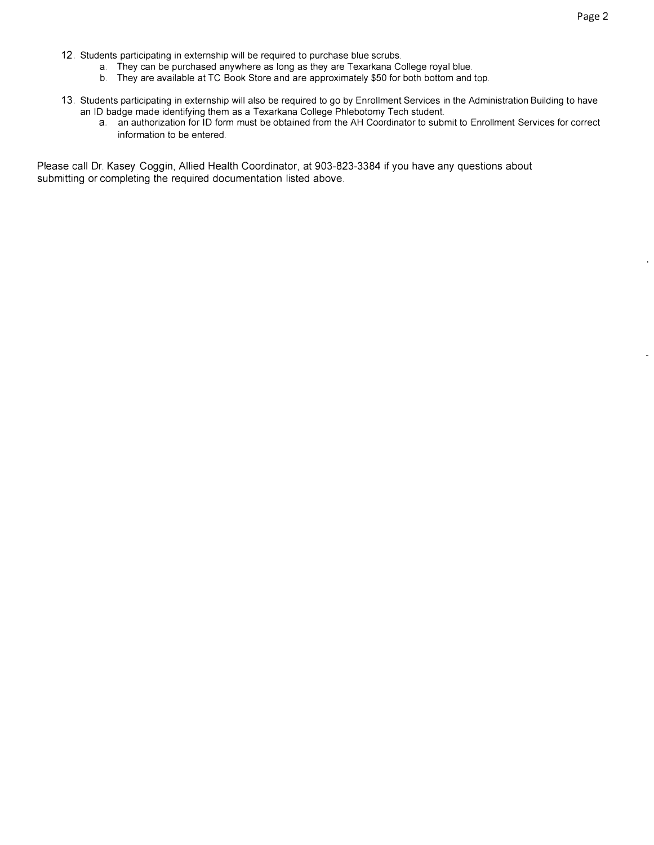- 12. Students participating in externship will be required to purchase blue scrubs.
	- a. They can be purchased anywhere as long as they are Texarkana College royal blue.
	- b. They are available at TC Book Store and are approximately \$50 for both bottom and top.
- 13. Students participating in externship will also be required to go by Enrollment Services in the Administration Building to have an ID badge made identifying them as a Texarkana College Phlebotomy Tech student.
	- a. an authorization for ID form must be obtained from the AH Coordinator to submit to Enrollment Services for correct information to be entered.

Please call Dr. Kasey Coggin, Allied Health Coordinator, at 903-823-3384 if you have any questions about submitting or completing the required documentation listed above.